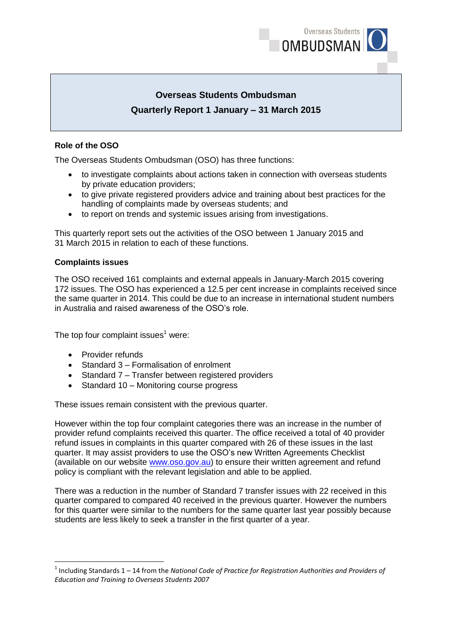

# **Overseas Students Ombudsman Quarterly Report 1 January – 31 March 2015**

### **Role of the OSO**

The Overseas Students Ombudsman (OSO) has three functions:

- to investigate complaints about actions taken in connection with overseas students by private education providers;
- to give private registered providers advice and training about best practices for the handling of complaints made by overseas students; and
- to report on trends and systemic issues arising from investigations.

This quarterly report sets out the activities of the OSO between 1 January 2015 and 31 March 2015 in relation to each of these functions.

#### **Complaints issues**

The OSO received 161 complaints and external appeals in January-March 2015 covering 172 issues. The OSO has experienced a 12.5 per cent increase in complaints received since the same quarter in 2014. This could be due to an increase in international student numbers in Australia and raised awareness of the OSO's role.

The top four complaint issues $<sup>1</sup>$  were:</sup>

• Provider refunds

**.** 

- Standard 3 Formalisation of enrolment
- Standard 7 Transfer between registered providers
- Standard 10 Monitoring course progress

These issues remain consistent with the previous quarter.

However within the top four complaint categories there was an increase in the number of provider refund complaints received this quarter. The office received a total of 40 provider refund issues in complaints in this quarter compared with 26 of these issues in the last quarter. It may assist providers to use the OSO's new Written Agreements Checklist (available on our website [www.oso.gov.au\)](http://www.oso.gov.au/) to ensure their written agreement and refund policy is compliant with the relevant legislation and able to be applied.

There was a reduction in the number of Standard 7 transfer issues with 22 received in this quarter compared to compared 40 received in the previous quarter. However the numbers for this quarter were similar to the numbers for the same quarter last year possibly because students are less likely to seek a transfer in the first quarter of a year.

<sup>&</sup>lt;sup>1</sup> Including Standards 1 – 14 from the *National Code of Practice for Registration Authorities and Providers of Education and Training to Overseas Students 2007*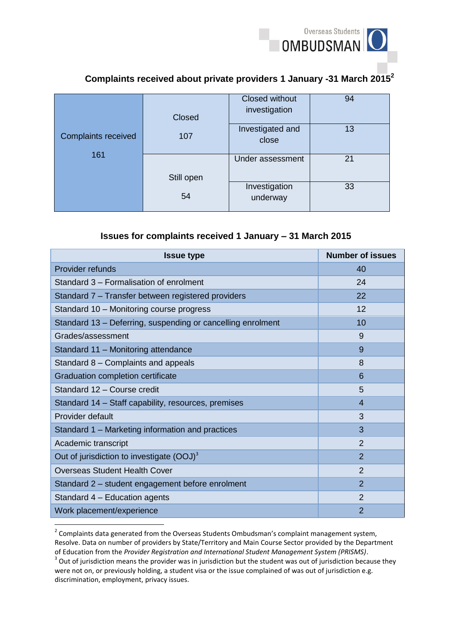

# **Complaints received about private providers 1 January -31 March 2015<sup>2</sup>**

|                            | Closed     | <b>Closed without</b><br>investigation | 94 |
|----------------------------|------------|----------------------------------------|----|
| <b>Complaints received</b> | 107        | Investigated and<br>close              | 13 |
| 161                        | Still open | Under assessment                       | 21 |
|                            | 54         | Investigation<br>underway              | 33 |

### **Issues for complaints received 1 January – 31 March 2015**

| <b>Issue type</b>                                           | <b>Number of issues</b> |
|-------------------------------------------------------------|-------------------------|
| Provider refunds                                            | 40                      |
| Standard 3 – Formalisation of enrolment                     | 24                      |
| Standard 7 – Transfer between registered providers          | 22                      |
| Standard 10 - Monitoring course progress                    | 12                      |
| Standard 13 – Deferring, suspending or cancelling enrolment | 10                      |
| Grades/assessment                                           | 9                       |
| Standard 11 - Monitoring attendance                         | 9                       |
| Standard 8 - Complaints and appeals                         | 8                       |
| Graduation completion certificate                           | 6                       |
| Standard 12 - Course credit                                 | 5                       |
| Standard 14 – Staff capability, resources, premises         | $\overline{4}$          |
| Provider default                                            | 3                       |
| Standard 1 – Marketing information and practices            | 3                       |
| Academic transcript                                         | $\overline{2}$          |
| Out of jurisdiction to investigate $(OOJ)^3$                | $\overline{2}$          |
| <b>Overseas Student Health Cover</b>                        | $\overline{2}$          |
| Standard 2 - student engagement before enrolment            | $\mathcal{P}$           |
| Standard 4 - Education agents                               | $\overline{2}$          |
| Work placement/experience                                   | $\overline{2}$          |

 2 Complaints data generated from the Overseas Students Ombudsman's complaint management system, Resolve. Data on number of providers by State/Territory and Main Course Sector provided by the Department of Education from the *Provider Registration and International Student Management System (PRISMS)*.

 $3$  Out of jurisdiction means the provider was in jurisdiction but the student was out of jurisdiction because they were not on, or previously holding, a student visa or the issue complained of was out of jurisdiction e.g. discrimination, employment, privacy issues.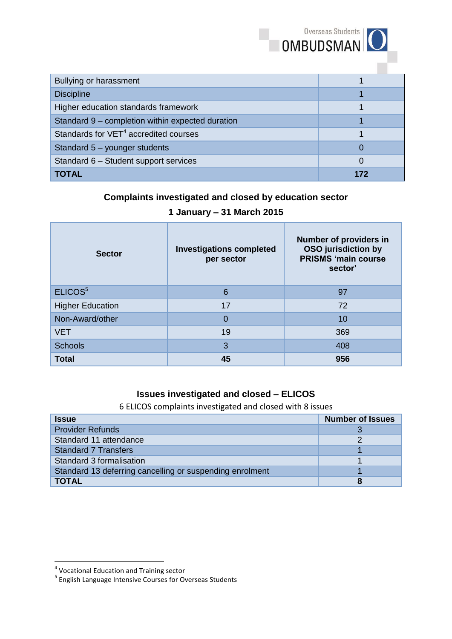|                                                   | <b>OMBUDSMAN</b> |
|---------------------------------------------------|------------------|
| <b>Bullying or harassment</b>                     |                  |
| <b>Discipline</b>                                 |                  |
| Higher education standards framework              |                  |
| Standard 9 - completion within expected duration  |                  |
| Standards for VET <sup>4</sup> accredited courses |                  |
| Standard 5 - younger students                     | 0                |
| Standard 6 - Student support services             | 0                |
| <b>TOTAL</b>                                      | 172              |

Overseas Students |

# **Complaints investigated and closed by education sector**

## **1 January – 31 March 2015**

| <b>Sector</b>           | <b>Investigations completed</b><br>per sector | Number of providers in<br><b>OSO</b> jurisdiction by<br><b>PRISMS 'main course</b><br>sector' |
|-------------------------|-----------------------------------------------|-----------------------------------------------------------------------------------------------|
| ELICOS <sup>5</sup>     | 6                                             | 97                                                                                            |
| <b>Higher Education</b> | 17                                            | 72                                                                                            |
| Non-Award/other         | 0                                             | 10                                                                                            |
| <b>VET</b>              | 19                                            | 369                                                                                           |
| <b>Schools</b>          | 3                                             | 408                                                                                           |
| <b>Total</b>            | 45                                            | 956                                                                                           |

### **Issues investigated and closed – ELICOS**

6 ELICOS complaints investigated and closed with 8 issues

| <b>Issue</b>                                             | <b>Number of Issues</b> |
|----------------------------------------------------------|-------------------------|
| <b>Provider Refunds</b>                                  |                         |
| Standard 11 attendance                                   |                         |
| <b>Standard 7 Transfers</b>                              |                         |
| Standard 3 formalisation                                 |                         |
| Standard 13 deferring cancelling or suspending enrolment |                         |
| <b>TOTAL</b>                                             |                         |

 4 Vocational Education and Training sector 5 English Language Intensive Courses for Overseas Students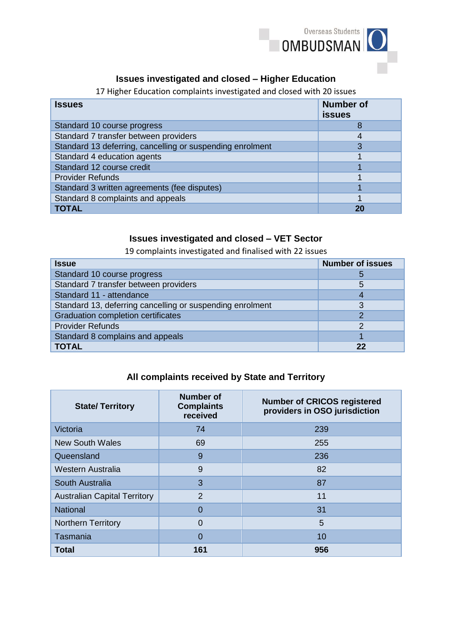

## **Issues investigated and closed – Higher Education**

17 Higher Education complaints investigated and closed with 20 issues

| <b>Issues</b>                                             | <b>Number of</b><br><b>issues</b> |
|-----------------------------------------------------------|-----------------------------------|
| Standard 10 course progress                               |                                   |
| Standard 7 transfer between providers                     |                                   |
| Standard 13 deferring, cancelling or suspending enrolment |                                   |
| Standard 4 education agents                               |                                   |
| Standard 12 course credit                                 |                                   |
| <b>Provider Refunds</b>                                   |                                   |
| Standard 3 written agreements (fee disputes)              |                                   |
| Standard 8 complaints and appeals                         |                                   |
| <b>TOTAL</b>                                              |                                   |

## **Issues investigated and closed – VET Sector**

19 complaints investigated and finalised with 22 issues

| <b>Issue</b>                                              | <b>Number of issues</b> |
|-----------------------------------------------------------|-------------------------|
| Standard 10 course progress                               | 5                       |
| Standard 7 transfer between providers                     | 5                       |
| Standard 11 - attendance                                  | 4                       |
| Standard 13, deferring cancelling or suspending enrolment | 3                       |
| <b>Graduation completion certificates</b>                 | ာ                       |
| <b>Provider Refunds</b>                                   | っ                       |
| Standard 8 complains and appeals                          |                         |
| <b>TOTAL</b>                                              | 22                      |

### **All complaints received by State and Territory**

| <b>State/Territory</b>              | <b>Number of</b><br><b>Complaints</b><br>received | <b>Number of CRICOS registered</b><br>providers in OSO jurisdiction |
|-------------------------------------|---------------------------------------------------|---------------------------------------------------------------------|
| Victoria                            | 74                                                | 239                                                                 |
| <b>New South Wales</b>              | 69                                                | 255                                                                 |
| Queensland                          | 9                                                 | 236                                                                 |
| Western Australia                   | 9                                                 | 82                                                                  |
| South Australia                     | 3                                                 | 87                                                                  |
| <b>Australian Capital Territory</b> | $\overline{2}$                                    | 11                                                                  |
| <b>National</b>                     | $\Omega$                                          | 31                                                                  |
| <b>Northern Territory</b>           | $\Omega$                                          | 5                                                                   |
| Tasmania                            | $\Omega$                                          | 10                                                                  |
| <b>Total</b>                        | 161                                               | 956                                                                 |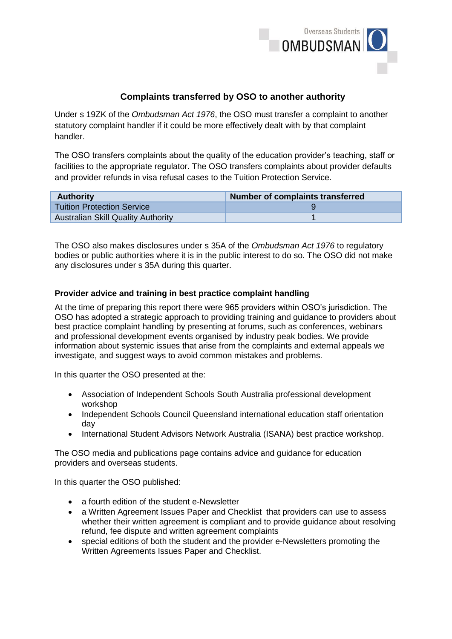

### **Complaints transferred by OSO to another authority**

Under s 19ZK of the *Ombudsman Act 1976*, the OSO must transfer a complaint to another statutory complaint handler if it could be more effectively dealt with by that complaint handler.

The OSO transfers complaints about the quality of the education provider's teaching, staff or facilities to the appropriate regulator. The OSO transfers complaints about provider defaults and provider refunds in visa refusal cases to the Tuition Protection Service.

| <b>Authority</b>                          | Number of complaints transferred |
|-------------------------------------------|----------------------------------|
| <b>Tuition Protection Service</b>         |                                  |
| <b>Australian Skill Quality Authority</b> |                                  |

The OSO also makes disclosures under s 35A of the *Ombudsman Act 1976* to regulatory bodies or public authorities where it is in the public interest to do so. The OSO did not make any disclosures under s 35A during this quarter.

#### **Provider advice and training in best practice complaint handling**

At the time of preparing this report there were 965 providers within OSO's jurisdiction. The OSO has adopted a strategic approach to providing training and guidance to providers about best practice complaint handling by presenting at forums, such as conferences, webinars and professional development events organised by industry peak bodies. We provide information about systemic issues that arise from the complaints and external appeals we investigate, and suggest ways to avoid common mistakes and problems.

In this quarter the OSO presented at the:

- Association of Independent Schools South Australia professional development workshop
- Independent Schools Council Queensland international education staff orientation day
- International Student Advisors Network Australia (ISANA) best practice workshop.

The OSO media and publications page contains advice and guidance for education providers and overseas students.

In this quarter the OSO published:

- a fourth edition of the student e-Newsletter
- a Written Agreement Issues Paper and Checklist that providers can use to assess whether their written agreement is compliant and to provide guidance about resolving refund, fee dispute and written agreement complaints
- special editions of both the student and the provider e-Newsletters promoting the Written Agreements Issues Paper and Checklist.